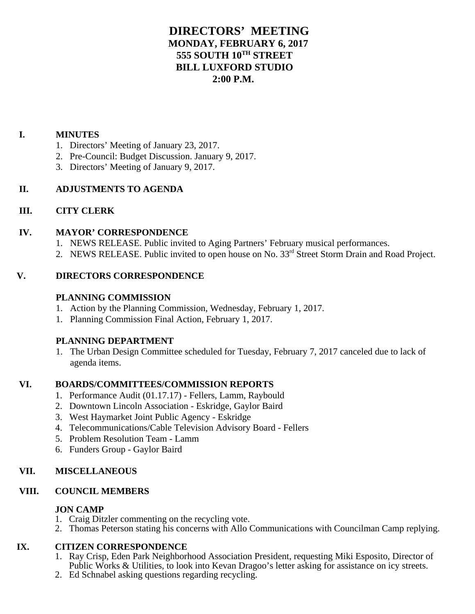# **DIRECTORS' MEETING MONDAY, FEBRUARY 6, 2017 555 SOUTH 10TH STREET BILL LUXFORD STUDIO 2:00 P.M.**

### **I. MINUTES**

- 1. Directors' Meeting of January 23, 2017.
- 2. Pre-Council: Budget Discussion. January 9, 2017.
- 3. Directors' Meeting of January 9, 2017.

## **II. ADJUSTMENTS TO AGENDA**

## **III. CITY CLERK**

#### **IV. MAYOR' CORRESPONDENCE**

- 1. NEWS RELEASE. Public invited to Aging Partners' February musical performances.
- 2. NEWS RELEASE. Public invited to open house on No. 33<sup>rd</sup> Street Storm Drain and Road Project.

#### **V. DIRECTORS CORRESPONDENCE**

#### **PLANNING COMMISSION**

- 1. Action by the Planning Commission, Wednesday, February 1, 2017.
- 1. Planning Commission Final Action, February 1, 2017.

### **PLANNING DEPARTMENT**

1. The Urban Design Committee scheduled for Tuesday, February 7, 2017 canceled due to lack of agenda items.

### **VI. BOARDS/COMMITTEES/COMMISSION REPORTS**

- 1. Performance Audit (01.17.17) Fellers, Lamm, Raybould
- 2. Downtown Lincoln Association Eskridge, Gaylor Baird
- 3. West Haymarket Joint Public Agency Eskridge
- 4. Telecommunications/Cable Television Advisory Board Fellers
- 5. Problem Resolution Team Lamm
- 6. Funders Group Gaylor Baird

### **VII. MISCELLANEOUS**

### **VIII. COUNCIL MEMBERS**

### **JON CAMP**

- 1. Craig Ditzler commenting on the recycling vote.
- 2. Thomas Peterson stating his concerns with Allo Communications with Councilman Camp replying.

### **IX. CITIZEN CORRESPONDENCE**

- 1. Ray Crisp, Eden Park Neighborhood Association President, requesting Miki Esposito, Director of Public Works & Utilities, to look into Kevan Dragoo's letter asking for assistance on icy streets.
- 2. Ed Schnabel asking questions regarding recycling.